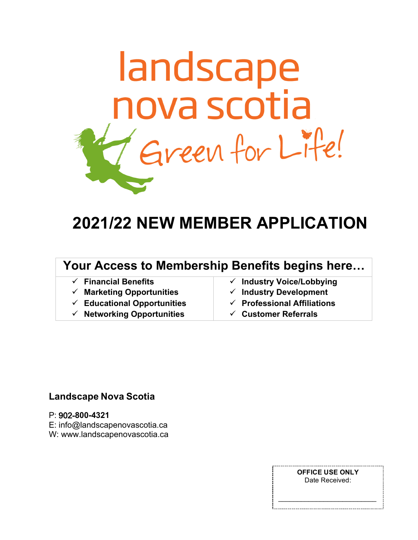

# **2021/22 NEW MEMBER APPLICATION**

## Your Access to Membership Benefits begins here...

| $\checkmark$ Financial Benefits        | $\checkmark$ Industry Voice/Lobbying   |
|----------------------------------------|----------------------------------------|
| $\checkmark$ Marketing Opportunities   | $\checkmark$ Industry Development      |
| $\checkmark$ Educational Opportunities | $\checkmark$ Professional Affiliations |
| $\checkmark$ Networking Opportunities  | $\checkmark$ Customer Referrals        |
|                                        |                                        |

### **Landscape Nova Scotia**

#### P: 902-800-4321

E: info@landscapenovascotia.ca

W: www.landscapenovascotia.ca

**OFFICE USE ONLY** Date Received: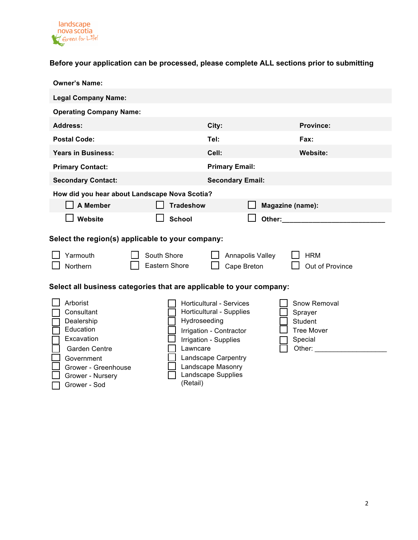

#### **Before your application can be processed, please complete ALL sections prior to submitting**

| <b>Owner's Name:</b>                                                                                                                                  |                                                                                                                                                                                                                                                                                   |  |  |  |
|-------------------------------------------------------------------------------------------------------------------------------------------------------|-----------------------------------------------------------------------------------------------------------------------------------------------------------------------------------------------------------------------------------------------------------------------------------|--|--|--|
| <b>Legal Company Name:</b>                                                                                                                            |                                                                                                                                                                                                                                                                                   |  |  |  |
| <b>Operating Company Name:</b>                                                                                                                        |                                                                                                                                                                                                                                                                                   |  |  |  |
| <b>Address:</b>                                                                                                                                       | City:<br><b>Province:</b>                                                                                                                                                                                                                                                         |  |  |  |
| <b>Postal Code:</b>                                                                                                                                   | Tel:<br>Fax:                                                                                                                                                                                                                                                                      |  |  |  |
| <b>Years in Business:</b>                                                                                                                             | Cell:<br><b>Website:</b>                                                                                                                                                                                                                                                          |  |  |  |
| <b>Primary Contact:</b>                                                                                                                               | <b>Primary Email:</b>                                                                                                                                                                                                                                                             |  |  |  |
| <b>Secondary Contact:</b>                                                                                                                             | <b>Secondary Email:</b>                                                                                                                                                                                                                                                           |  |  |  |
| How did you hear about Landscape Nova Scotia?                                                                                                         |                                                                                                                                                                                                                                                                                   |  |  |  |
| A Member<br><b>Tradeshow</b>                                                                                                                          | Magazine (name):                                                                                                                                                                                                                                                                  |  |  |  |
| Website<br><b>School</b>                                                                                                                              | Other: and the control of the control of the control of the control of the control of the control of the control of the control of the control of the control of the control of the control of the control of the control of t                                                    |  |  |  |
| Select the region(s) applicable to your company:                                                                                                      |                                                                                                                                                                                                                                                                                   |  |  |  |
| Yarmouth<br>South Shore<br>Eastern Shore<br>Northern<br>Select all business categories that are applicable to your company:                           | Annapolis Valley<br><b>HRM</b><br>Out of Province<br>Cape Breton                                                                                                                                                                                                                  |  |  |  |
| Arborist<br>Consultant<br>Dealership<br>Education<br>Excavation<br>Garden Centre<br>Lawncare<br>Government<br>Grower - Greenhouse<br>Grower - Nursery | Horticultural - Services<br>Snow Removal<br>Horticultural - Supplies<br>Sprayer<br>Hydroseeding<br><b>Student</b><br>Irrigation - Contractor<br><b>Tree Mover</b><br>Irrigation - Supplies<br>Special<br>Other:<br>Landscape Carpentry<br>Landscape Masonry<br>Landscape Supplies |  |  |  |

(Retail)

¨ Grower - Sod

2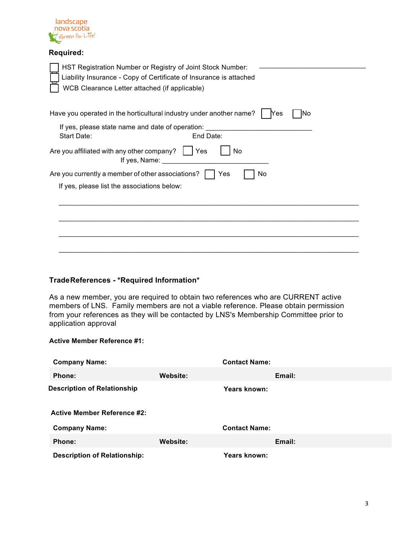

#### **Required:**

| HST Registration Number or Registry of Joint Stock Number:<br>Liability Insurance - Copy of Certificate of Insurance is attached<br>WCB Clearance Letter attached (if applicable) |
|-----------------------------------------------------------------------------------------------------------------------------------------------------------------------------------|
| Have you operated in the horticultural industry under another name?<br>Yes<br>No<br>If yes, please state name and date of operation:<br>End Date:<br>Start Date:                  |
| Are you affiliated with any other company?<br>No<br>  Yes<br>If yes, Name:                                                                                                        |
| Are you currently a member of other associations?<br>Yes<br>No                                                                                                                    |
| If yes, please list the associations below:                                                                                                                                       |
|                                                                                                                                                                                   |
|                                                                                                                                                                                   |
|                                                                                                                                                                                   |
|                                                                                                                                                                                   |

#### **TradeReferences - \*Required Information\***

As a new member, you are required to obtain two references who are CURRENT active members of LNS. Family members are not a viable reference. Please obtain permission from your references as they will be contacted by LNS's Membership Committee prior to application approval

#### **Active Member Reference #1:**

| <b>Company Name:</b>                |                 | <b>Contact Name:</b> |        |
|-------------------------------------|-----------------|----------------------|--------|
| Phone:                              | Website:        |                      | Email: |
| <b>Description of Relationship</b>  |                 | Years known:         |        |
|                                     |                 |                      |        |
| <b>Active Member Reference #2:</b>  |                 |                      |        |
| <b>Company Name:</b>                |                 | <b>Contact Name:</b> |        |
| Phone:                              | <b>Website:</b> |                      | Email: |
| <b>Description of Relationship:</b> |                 | Years known:         |        |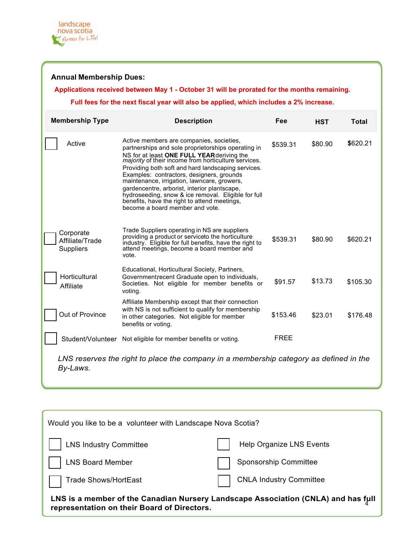**Annual Membership Dues:** 

### **Applications received between May 1 - October 31 will be prorated for the months remaining.**

#### **Full fees for the next fiscal year will also be applied, which includes a 2% increase.**

| <b>Membership Type</b>                                                                             | <b>Description</b>                                                                                                                                                                                                                                                                                                                                                                                                                                                                                                                            | Fee         | <b>HST</b> | Total    |
|----------------------------------------------------------------------------------------------------|-----------------------------------------------------------------------------------------------------------------------------------------------------------------------------------------------------------------------------------------------------------------------------------------------------------------------------------------------------------------------------------------------------------------------------------------------------------------------------------------------------------------------------------------------|-------------|------------|----------|
| Active                                                                                             | Active members are companies, societies,<br>partnerships and sole proprietorships operating in<br>NS for at least ONE FULL YEAR deriving the majority of their income from horticulture services.<br>Providing both soft and hard landscaping services.<br>Examples: contractors, designers, grounds<br>maintenance, irrigation, lawncare, growers,<br>gardencentre, arborist, interior plantscape,<br>hydroseeding, snow & ice removal. Eligible for full<br>benefits, have the right to attend meetings,<br>become a board member and vote. | \$539.31    | \$80.90    | \$620.21 |
| Corporate<br>Affiliate/Trade<br><b>Suppliers</b>                                                   | Trade Suppliers operating in NS are suppliers<br>providing a product or serviceto the horticulture<br>industry. Eligible for full benefits, have the right to<br>attend meetings, become a board member and<br>vote.                                                                                                                                                                                                                                                                                                                          | \$539.31    | \$80.90    | \$620.21 |
| Horticultural<br>Affiliate                                                                         | Educational, Horticultural Society, Partners,<br>Government recent Graduate open to individuals,<br>Societies. Not eligible for member benefits or<br>voting.                                                                                                                                                                                                                                                                                                                                                                                 | \$91.57     | \$13.73    | \$105.30 |
| Out of Province                                                                                    | Affiliate Membership except that their connection<br>with NS is not sufficient to qualify for membership<br>in other categories. Not eligible for member<br>benefits or voting.                                                                                                                                                                                                                                                                                                                                                               | \$153.46    | \$23.01    | \$176.48 |
| Student/Volunteer                                                                                  | Not eligible for member benefits or voting.                                                                                                                                                                                                                                                                                                                                                                                                                                                                                                   | <b>FREE</b> |            |          |
| LNS reserves the right to place the company in a membership category as defined in the<br>By-Laws. |                                                                                                                                                                                                                                                                                                                                                                                                                                                                                                                                               |             |            |          |

| Would you like to be a volunteer with Landscape Nova Scotia?                                                                     |                                |  |
|----------------------------------------------------------------------------------------------------------------------------------|--------------------------------|--|
| <b>LNS Industry Committee</b>                                                                                                    | Help Organize LNS Events       |  |
| <b>LNS Board Member</b>                                                                                                          | Sponsorship Committee          |  |
| Trade Shows/HortEast                                                                                                             | <b>CNLA Industry Committee</b> |  |
| LNS is a member of the Canadian Nursery Landscape Association (CNLA) and has full<br>representation on their Board of Directors. |                                |  |